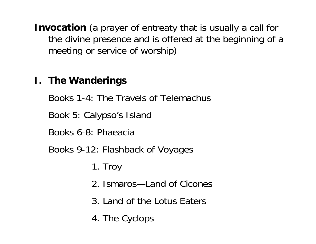**Invocation** (a prayer of entreaty that is usually a call for the divine presence and is offered at the beginning of a meeting or service of worship)

## **I. The Wanderings**

Books 1-4: The Travels of Telemachus

Book 5: Calypso's Island

Books 6-8: Phaeacia

Books 9-12: Flashback of Voyages

1. Troy

- 2. Ismaros—Land of Cicones
- 3. Land of the Lotus Eaters
- 4. The Cyclops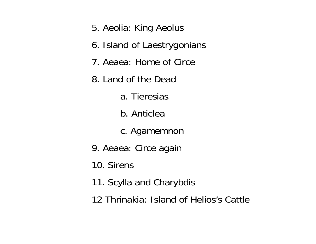- 5. Aeolia: King Aeolus
- 6. Island of Laestrygonians
- 7. Aeaea: Home of Circe
- 8. Land of the Dead
	- a. Tieresias
	- b. Anticlea
	- c. Agamemnon
- 9. Aeaea: Circe again
- 10. Sirens
- 11. Scylla and Charybdis
- 12 Thrinakia: Island of Helios's Cattle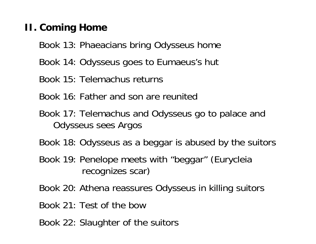## **II. Coming Home**

- Book 13: Phaeacians bring Odysseus home
- Book 14: Odysseus goes to Eumaeus's hut
- Book 15: Telemachus returns
- Book 16: Father and son are reunited
- Book 17: Telemachus and Odysseus go to palace and Odysseus sees Argos
- Book 18: Odysseus as a beggar is abused by the suitors
- Book 19: Penelope meets with "beggar" (Eurycleia recognizes scar)
- Book 20: Athena reassures Odysseus in killing suitors
- Book 21: Test of the bow
- Book 22: Slaughter of the suitors